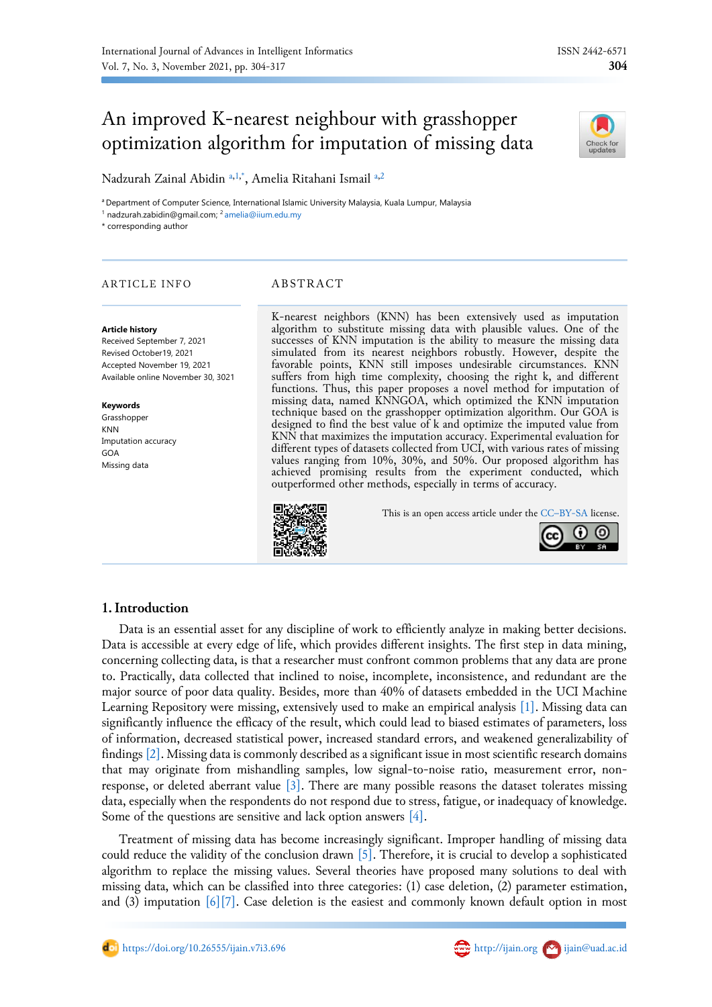# An improved K-nearest neighbour with grasshopper optimization algorithm for imputation of missing data



Nadzurah Zainal Abidin [a,](#page-0-0)[1,](#page-0-1)[\\*](#page-0-2), Ameli[a](#page-0-0) Ritahani Ismail a[,2](#page-0-3)

<span id="page-0-0"></span><sup>a</sup> Department of Computer Science, International Islamic University Malaysia, Kuala Lumpur, Malaysia

<span id="page-0-1"></span><sup>1</sup> nadzurah.zabidin@gmail.com; <sup>2</sup> [amelia@iium.edu.my](mailto:amelia@iium.edu.my)

<span id="page-0-3"></span><span id="page-0-2"></span>\* corresponding author

# ARTICLE INFO ABSTRACT

#### **Article history**

Received September 7, 2021 Revised October19, 2021 Accepted November 19, 2021 Available online November 30, 3021

#### **Keywords**

Grasshopper KNN Imputation accuracy GOA Missing data

K-nearest neighbors (KNN) has been extensively used as imputation algorithm to substitute missing data with plausible values. One of the successes of KNN imputation is the ability to measure the missing data simulated from its nearest neighbors robustly. However, despite the favorable points, KNN still imposes undesirable circumstances. KNN suffers from high time complexity, choosing the right k, and different functions. Thus, this paper proposes a novel method for imputation of missing data, named KNNGOA, which optimized the KNN imputation technique based on the grasshopper optimization algorithm. Our GOA is designed to find the best value of k and optimize the imputed value from KNN that maximizes the imputation accuracy. Experimental evaluation for different types of datasets collected from UCI, with various rates of missing values ranging from 10%, 30%, and 50%. Our proposed algorithm has achieved promising results from the experiment conducted, which outperformed other methods, especially in terms of accuracy.

This is an open access article under the CC–[BY-SA](http://creativecommons.org/licenses/by-sa/4.0/) license.



# **1.Introduction**

Data is an essential asset for any discipline of work to efficiently analyze in making better decisions. Data is accessible at every edge of life, which provides different insights. The first step in data mining, concerning collecting data, is that a researcher must confront common problems that any data are prone to. Practically, data collected that inclined to noise, incomplete, inconsistence, and redundant are the major source of poor data quality. Besides, more than 40% of datasets embedded in the UCI Machine Learning Repository were missing, extensively used to make an empirical analysis [\[1\].](#page-11-0) Missing data can significantly influence the efficacy of the result, which could lead to biased estimates of parameters, loss of information, decreased statistical power, increased standard errors, and weakened generalizability of finding[s \[2\].](#page-11-1) Missing data is commonly described as a significant issue in most scientific research domains that may originate from mishandling samples, low signal-to-noise ratio, measurement error, non-response, or deleted aberrant value [\[3\].](#page-11-2) There are many possible reasons the dataset tolerates missing data, especially when the respondents do not respond due to stress, fatigue, or inadequacy of knowledge. Some of the questions are sensitive and lack option answers [\[4\].](#page-11-3)

Treatment of missing data has become increasingly significant. Improper handling of missing data could reduce the validity of the conclusion drawn  $\lceil 5 \rceil$ . Therefore, it is crucial to develop a sophisticated algorithm to replace the missing values. Several theories have proposed many solutions to deal with missing data, which can be classified into three categories: (1) case deletion, (2) parameter estimation, and (3) imputation  $[6][7]$ . Case deletion is the easiest and commonly known default option in most

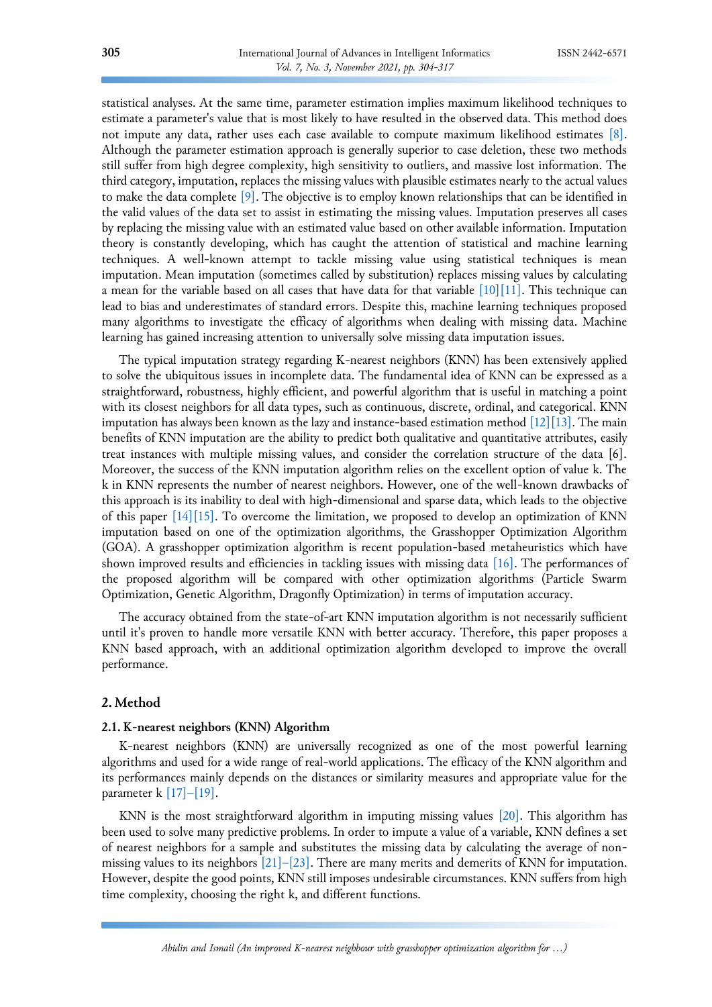statistical analyses. At the same time, parameter estimation implies maximum likelihood techniques to estimate a parameter's value that is most likely to have resulted in the observed data. This method does not impute any data, rather uses each case available to compute maximum likelihood estimates [\[8\].](#page-11-7) Although the parameter estimation approach is generally superior to case deletion, these two methods still suffer from high degree complexity, high sensitivity to outliers, and massive lost information. The third category, imputation, replaces the missing values with plausible estimates nearly to the actual values to make the data complete  $[9]$ . The objective is to employ known relationships that can be identified in the valid values of the data set to assist in estimating the missing values. Imputation preserves all cases by replacing the missing value with an estimated value based on other available information. Imputation theory is constantly developing, which has caught the attention of statistical and machine learning techniques. A well-known attempt to tackle missing value using statistical techniques is mean imputation. Mean imputation (sometimes called by substitution) replaces missing values by calculating a mean for the variable based on all cases that have data for that variable  $[10][11]$ . This technique can lead to bias and underestimates of standard errors. Despite this, machine learning techniques proposed many algorithms to investigate the efficacy of algorithms when dealing with missing data. Machine learning has gained increasing attention to universally solve missing data imputation issues.

The typical imputation strategy regarding K-nearest neighbors (KNN) has been extensively applied to solve the ubiquitous issues in incomplete data. The fundamental idea of KNN can be expressed as a straightforward, robustness, highly efficient, and powerful algorithm that is useful in matching a point with its closest neighbors for all data types, such as continuous, discrete, ordinal, and categorical. KNN imputation has always been known as the lazy and instance-based estimation method  $\lceil 12 \rceil \lceil 13 \rceil$ . The main benefits of KNN imputation are the ability to predict both qualitative and quantitative attributes, easily treat instances with multiple missing values, and consider the correlation structure of the data [6]. Moreover, the success of the KNN imputation algorithm relies on the excellent option of value k. The k in KNN represents the number of nearest neighbors. However, one of the well-known drawbacks of this approach is its inability to deal with high-dimensional and sparse data, which leads to the objective of this paper  $[14][15]$ . To overcome the limitation, we proposed to develop an optimization of KNN imputation based on one of the optimization algorithms, the Grasshopper Optimization Algorithm (GOA). A grasshopper optimization algorithm is recent population-based metaheuristics which have shown improved results and efficiencies in tackling issues with missing data [\[16\].](#page-12-5) The performances of the proposed algorithm will be compared with other optimization algorithms (Particle Swarm Optimization, Genetic Algorithm, Dragonfly Optimization) in terms of imputation accuracy.

The accuracy obtained from the state-of-art KNN imputation algorithm is not necessarily sufficient until it's proven to handle more versatile KNN with better accuracy. Therefore, this paper proposes a KNN based approach, with an additional optimization algorithm developed to improve the overall performance.

# **2. Method**

#### **2.1. K-nearest neighbors (KNN) Algorithm**

K-nearest neighbors (KNN) are universally recognized as one of the most powerful learning algorithms and used for a wide range of real-world applications. The efficacy of the KNN algorithm and its performances mainly depends on the distances or similarity measures and appropriate value for the parameter k  $[17]-[19]$ .

KNN is the most straightforward algorithm in imputing missing values [\[20\].](#page-12-7) This algorithm has been used to solve many predictive problems. In order to impute a value of a variable, KNN defines a set of nearest neighbors for a sample and substitutes the missing data by calculating the average of nonmissing values to its neighbors  $[21]$ – $[23]$ . There are many merits and demerits of KNN for imputation. However, despite the good points, KNN still imposes undesirable circumstances. KNN suffers from high time complexity, choosing the right k, and different functions.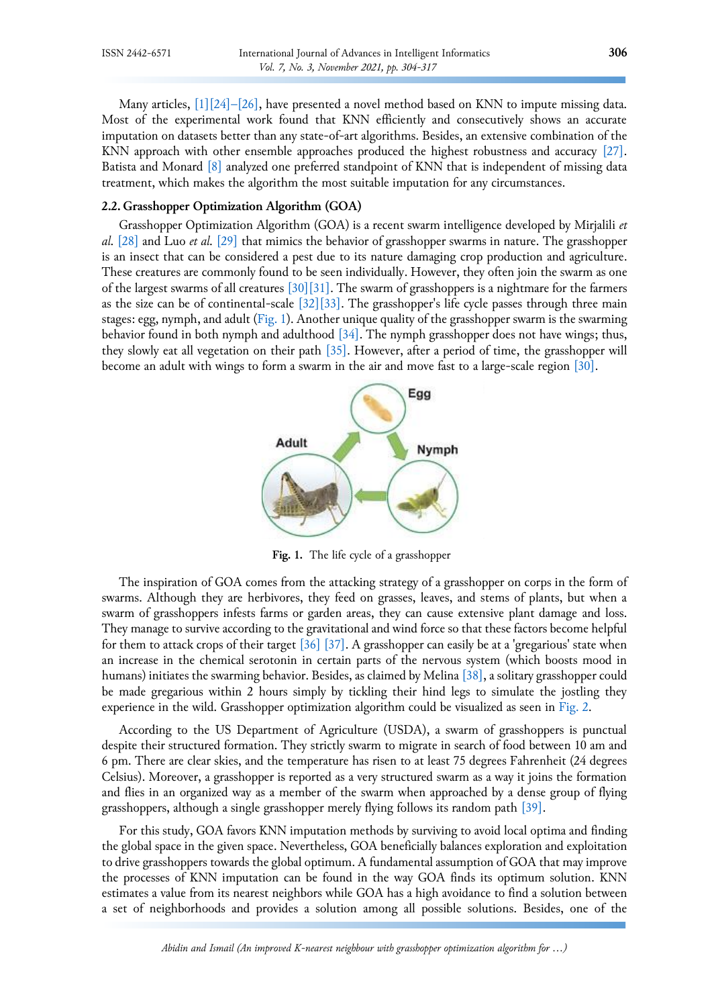Many articles, [\[1\]\[](#page-11-0)24]-[\[26\],](#page-12-9) have presented a novel method based on KNN to impute missing data. Most of the experimental work found that KNN efficiently and consecutively shows an accurate imputation on datasets better than any state-of-art algorithms. Besides, an extensive combination of the KNN approach with other ensemble approaches produced the highest robustness and accuracy [\[27\].](#page-12-10) Batista and Monard [\[8\]](#page-11-7) analyzed one preferred standpoint of KNN that is independent of missing data treatment, which makes the algorithm the most suitable imputation for any circumstances.

#### **2.2. Grasshopper Optimization Algorithm (GOA)**

Grasshopper Optimization Algorithm (GOA) is a recent swarm intelligence developed by Mirjalili *et al.* [\[28\]](#page-12-11) and Luo *et al.* [\[29\]](#page-13-0) that mimics the behavior of grasshopper swarms in nature. The grasshopper is an insect that can be considered a pest due to its nature damaging crop production and agriculture. These creatures are commonly found to be seen individually. However, they often join the swarm as one of the largest swarms of all creatures [\[30\]](#page-13-1)[\[31\].](#page-13-2) The swarm of grasshoppers is a nightmare for the farmers as the size can be of continental-scale [\[32\]](#page-13-3)[\[33\].](#page-13-4) The grasshopper's life cycle passes through three main stages: egg, nymph, and adult [\(Fig. 1\)](#page-2-0). Another unique quality of the grasshopper swarm is the swarming behavior found in both nymph and adulthood  $[34]$ . The nymph grasshopper does not have wings; thus, they slowly eat all vegetation on their path [\[35\].](#page-13-6) However, after a period of time, the grasshopper will become an adult with wings to form a swarm in the air and move fast to a large-scale region [\[30\].](#page-13-1)

<span id="page-2-0"></span>

**Fig. 1.** The life cycle of a grasshopper

The inspiration of GOA comes from the attacking strategy of a grasshopper on corps in the form of swarms. Although they are herbivores, they feed on grasses, leaves, and stems of plants, but when a swarm of grasshoppers infests farms or garden areas, they can cause extensive plant damage and loss. They manage to survive according to the gravitational and wind force so that these factors become helpful for them to attack crops of their target [\[36\]](#page-13-7) [\[37\].](#page-13-8) A grasshopper can easily be at a 'gregarious' state when an increase in the chemical serotonin in certain parts of the nervous system (which boosts mood in humans) initiates the swarming behavior. Besides, as claimed by Melina [\[38\],](#page-13-9) a solitary grasshopper could be made gregarious within 2 hours simply by tickling their hind legs to simulate the jostling they experience in the wild. Grasshopper optimization algorithm could be visualized as seen in [Fig. 2.](#page-3-0)

According to the US Department of Agriculture (USDA), a swarm of grasshoppers is punctual despite their structured formation. They strictly swarm to migrate in search of food between 10 am and 6 pm. There are clear skies, and the temperature has risen to at least 75 degrees Fahrenheit (24 degrees Celsius). Moreover, a grasshopper is reported as a very structured swarm as a way it joins the formation and flies in an organized way as a member of the swarm when approached by a dense group of flying grasshoppers, although a single grasshopper merely flying follows its random path [\[39\].](#page-13-10)

For this study, GOA favors KNN imputation methods by surviving to avoid local optima and finding the global space in the given space. Nevertheless, GOA beneficially balances exploration and exploitation to drive grasshoppers towards the global optimum. A fundamental assumption of GOA that may improve the processes of KNN imputation can be found in the way GOA finds its optimum solution. KNN estimates a value from its nearest neighbors while GOA has a high avoidance to find a solution between a set of neighborhoods and provides a solution among all possible solutions. Besides, one of the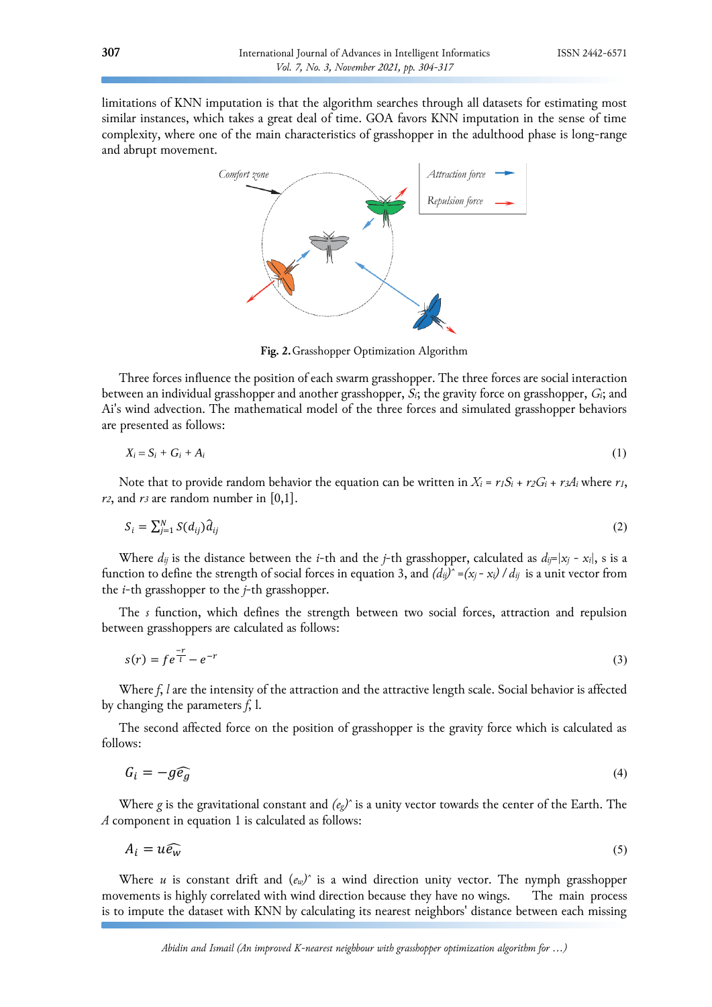<span id="page-3-0"></span>limitations of KNN imputation is that the algorithm searches through all datasets for estimating most similar instances, which takes a great deal of time. GOA favors KNN imputation in the sense of time complexity, where one of the main characteristics of grasshopper in the adulthood phase is long-range and abrupt movement.



**Fig. 2.**Grasshopper Optimization Algorithm

Three forces influence the position of each swarm grasshopper. The three forces are social interaction between an individual grasshopper and another grasshopper, *Si*; the gravity force on grasshopper, *Gi*; and Ai's wind advection. The mathematical model of the three forces and simulated grasshopper behaviors are presented as follows:

$$
X_i = S_i + G_i + A_i \tag{1}
$$

Note that to provide random behavior the equation can be written in  $X_i = r_1S_i + r_2G_i + r_3A_i$  where  $r_1$ , *r2*, and *r<sup>3</sup>* are random number in [0,1].

$$
S_i = \sum_{j=1}^{N} S(d_{ij}) \hat{d}_{ij} \tag{2}
$$

Where  $d_{ij}$  is the distance between the *i*-th and the *j*-th grasshopper, calculated as  $d_{ij} = |x_j - x_i|$ , s is a function to define the strength of social forces in equation 3, and  $(d_{ij})^* = (x_j - x_i) / d_{ij}$  is a unit vector from the *i*-th grasshopper to the *j*-th grasshopper.

The *s* function, which defines the strength between two social forces, attraction and repulsion between grasshoppers are calculated as follows:

$$
s(r) = f e^{\frac{-r}{l}} - e^{-r} \tag{3}
$$

Where *f*, *l* are the intensity of the attraction and the attractive length scale. Social behavior is affected by changing the parameters *f*, l.

The second affected force on the position of grasshopper is the gravity force which is calculated as follows:

$$
G_i = -g\widehat{e_g} \tag{4}
$$

Where *g* is the gravitational constant and *(eg) ̂*is a unity vector towards the center of the Earth. The *A* component in equation 1 is calculated as follows:

$$
A_i = u\widehat{e_w} \tag{5}
$$

Where *u* is constant drift and (*ew) ̂* is a wind direction unity vector. The nymph grasshopper movements is highly correlated with wind direction because they have no wings. The main process is to impute the dataset with KNN by calculating its nearest neighbors' distance between each missing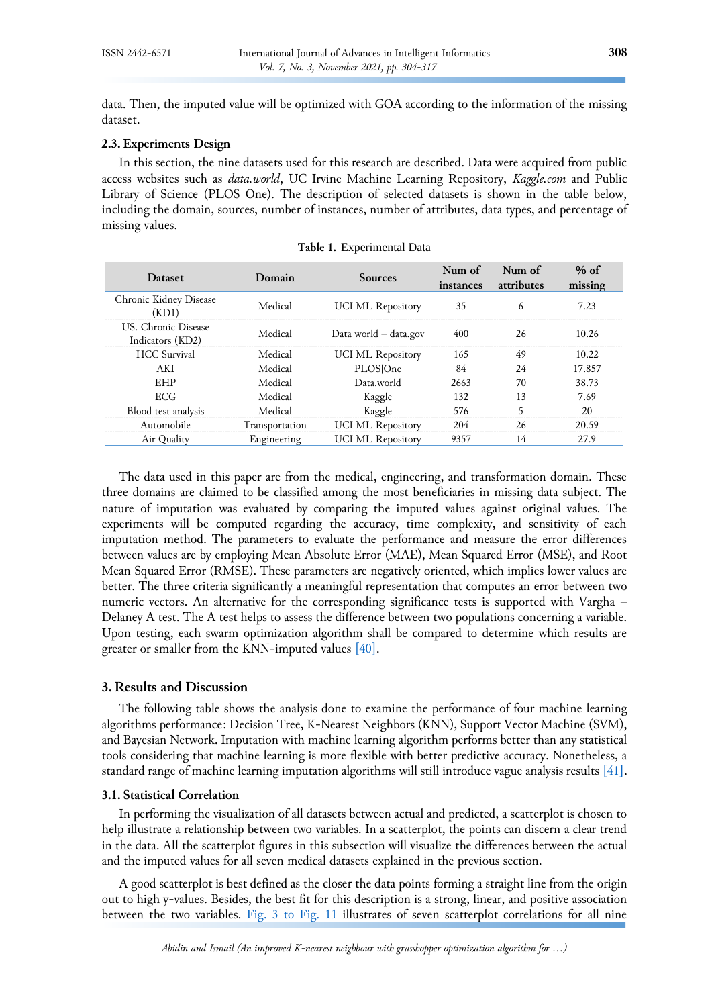data. Then, the imputed value will be optimized with GOA according to the information of the missing dataset.

# **2.3. Experiments Design**

In this section, the nine datasets used for this research are described. Data were acquired from public access websites such as *data.world*, UC Irvine Machine Learning Repository, *Kaggle.com* and Public Library of Science (PLOS One). The description of selected datasets is shown in the table below, including the domain, sources, number of instances, number of attributes, data types, and percentage of missing values.

| <b>Dataset</b>                          | Domain         | <b>Sources</b>           | Num of<br>instances | Num of<br>attributes | $%$ of<br>missing |
|-----------------------------------------|----------------|--------------------------|---------------------|----------------------|-------------------|
| Chronic Kidney Disease<br>(KD1)         | Medical        | <b>UCI ML Repository</b> | 35                  | 6                    | 7.23              |
| US. Chronic Disease<br>Indicators (KD2) | Medical        | Data world - data.gov    | 400                 | 26                   | 10.26             |
| <b>HCC</b> Survival                     | Medical        | <b>UCI ML Repository</b> | 165                 | 49                   | 10.22             |
| AKI                                     | Medical        | PLOSOne                  | 84                  | 24                   | 17.857            |
| <b>EHP</b>                              | Medical        | Data, world              | 2663                | 70                   | 38.73             |
| ECG                                     | Medical        | Kaggle                   | 132                 | 13                   | 7.69              |
| Blood test analysis                     | Medical        | Kaggle                   | 576                 | 5                    | 20                |
| Automobile                              | Transportation | <b>UCI ML Repository</b> | 204                 | 26                   | 20.59             |
| Air Quality                             | Engineering    | <b>UCI ML Repository</b> | 9357                | 14                   | 27.9              |

The data used in this paper are from the medical, engineering, and transformation domain. These three domains are claimed to be classified among the most beneficiaries in missing data subject. The nature of imputation was evaluated by comparing the imputed values against original values. The experiments will be computed regarding the accuracy, time complexity, and sensitivity of each imputation method. The parameters to evaluate the performance and measure the error differences between values are by employing Mean Absolute Error (MAE), Mean Squared Error (MSE), and Root Mean Squared Error (RMSE). These parameters are negatively oriented, which implies lower values are better. The three criteria significantly a meaningful representation that computes an error between two numeric vectors. An alternative for the corresponding significance tests is supported with Vargha – Delaney A test. The A test helps to assess the difference between two populations concerning a variable. Upon testing, each swarm optimization algorithm shall be compared to determine which results are greater or smaller from the KNN-imputed values [\[40\].](#page-13-11)

# **3. Results and Discussion**

The following table shows the analysis done to examine the performance of four machine learning algorithms performance: Decision Tree, K-Nearest Neighbors (KNN), Support Vector Machine (SVM), and Bayesian Network. Imputation with machine learning algorithm performs better than any statistical tools considering that machine learning is more flexible with better predictive accuracy. Nonetheless, a standard range of machine learning imputation algorithms will still introduce vague analysis results [\[41\].](#page-13-12)

# **3.1. Statistical Correlation**

In performing the visualization of all datasets between actual and predicted, a scatterplot is chosen to help illustrate a relationship between two variables. In a scatterplot, the points can discern a clear trend in the data. All the scatterplot figures in this subsection will visualize the differences between the actual and the imputed values for all seven medical datasets explained in the previous section.

A good scatterplot is best defined as the closer the data points forming a straight line from the origin out to high y-values. Besides, the best fit for this description is a strong, linear, and positive association between the two variables. Fig. [3 to Fig. 11](#page-5-0) illustrates of seven scatterplot correlations for all nine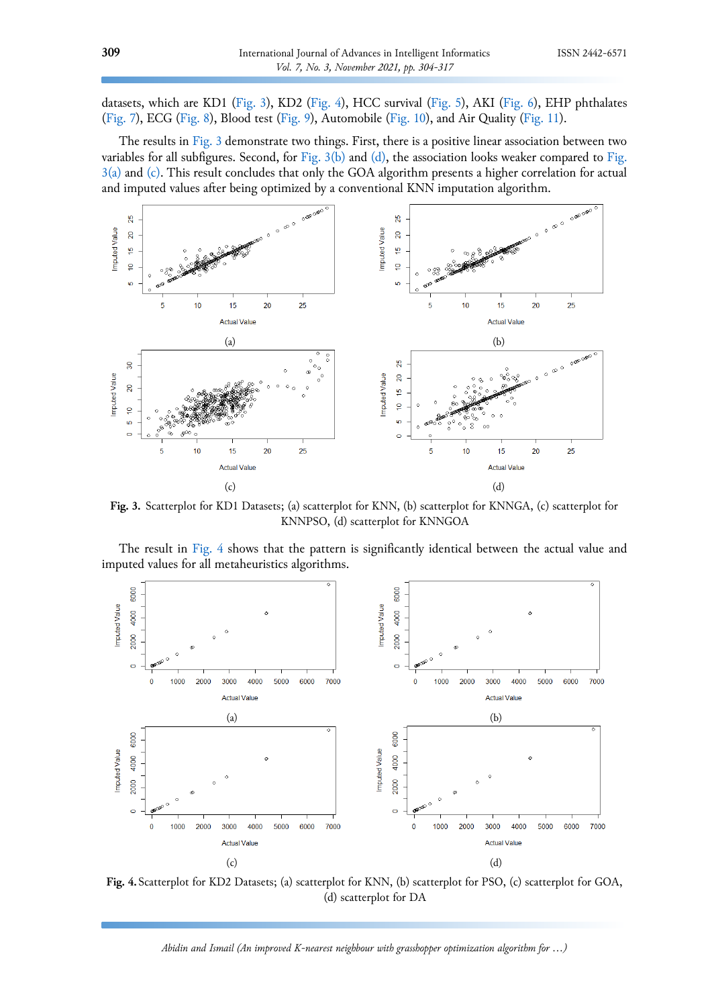datasets, which are KD1 [\(Fig. 3\)](#page-5-0), KD2 [\(Fig. 4\)](#page-5-1), HCC survival [\(Fig. 5\)](#page-6-0), AKI [\(Fig.](#page-6-1) 6), EHP phthalates [\(Fig. 7\)](#page-7-0), ECG [\(Fig. 8\)](#page-7-1), Blood test [\(Fig. 9\)](#page-8-0), Automobile [\(Fig. 10\)](#page-12-0), and Air Quality [\(Fig. 11\)](#page-9-0).

The results in [Fig.](#page-5-0) 3 demonstrate two things. First, there is a positive linear association between two variables for all subfigures. Second, for [Fig.](#page-5-0)  $3(b)$  and [\(d\),](#page-5-2) the association looks weaker compared to Fig. [3\(a\)](#page-5-0) and [\(c\).](#page-5-2) This result concludes that only the GOA algorithm presents a higher correlation for actual and imputed values after being optimized by a conventional KNN imputation algorithm.

<span id="page-5-0"></span>

<span id="page-5-2"></span>**Fig. 3.** Scatterplot for KD1 Datasets; (a) scatterplot for KNN, (b) scatterplot for KNNGA, (c) scatterplot for KNNPSO, (d) scatterplot for KNNGOA

The result in [Fig.](#page-5-1) 4 shows that the pattern is significantly identical between the actual value and imputed values for all metaheuristics algorithms.

<span id="page-5-1"></span>

**Fig. 4.**Scatterplot for KD2 Datasets; (a) scatterplot for KNN, (b) scatterplot for PSO, (c) scatterplot for GOA, (d) scatterplot for DA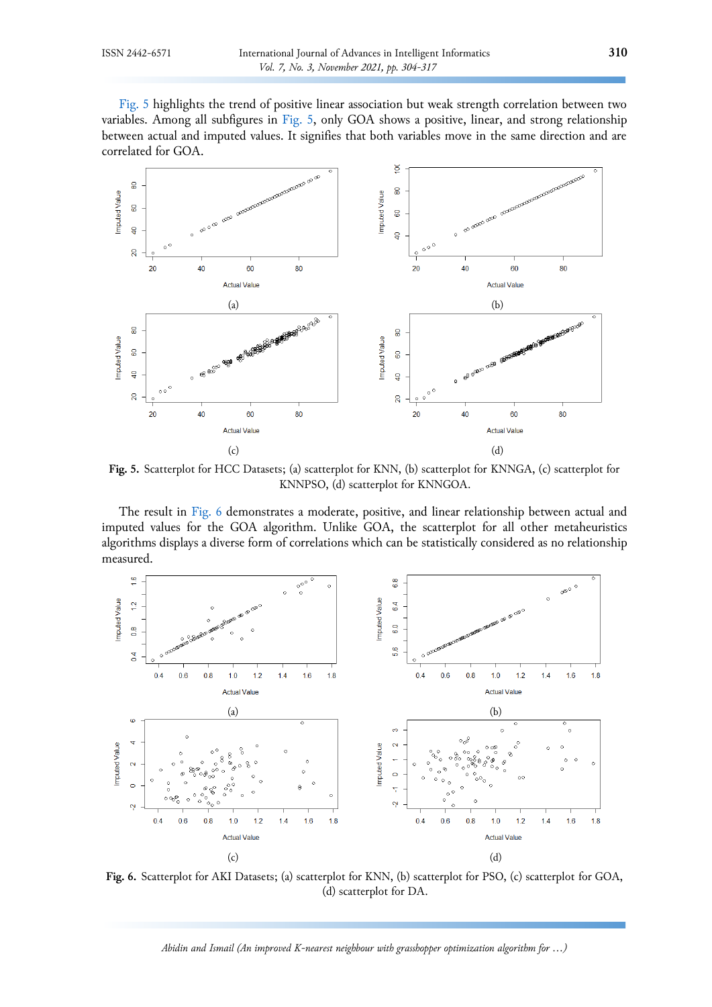[Fig.](#page-6-0) 5 highlights the trend of positive linear association but weak strength correlation between two variables. Among all subfigures in [Fig.](#page-6-0) 5, only GOA shows a positive, linear, and strong relationship between actual and imputed values. It signifies that both variables move in the same direction and are correlated for GOA.

<span id="page-6-0"></span>

**Fig. 5.** Scatterplot for HCC Datasets; (a) scatterplot for KNN, (b) scatterplot for KNNGA, (c) scatterplot for KNNPSO, (d) scatterplot for KNNGOA.

The result in [Fig.](#page-6-1) 6 demonstrates a moderate, positive, and linear relationship between actual and imputed values for the GOA algorithm. Unlike GOA, the scatterplot for all other metaheuristics algorithms displays a diverse form of correlations which can be statistically considered as no relationship measured.

<span id="page-6-1"></span>

**Fig. 6.** Scatterplot for AKI Datasets; (a) scatterplot for KNN, (b) scatterplot for PSO, (c) scatterplot for GOA, (d) scatterplot for DA.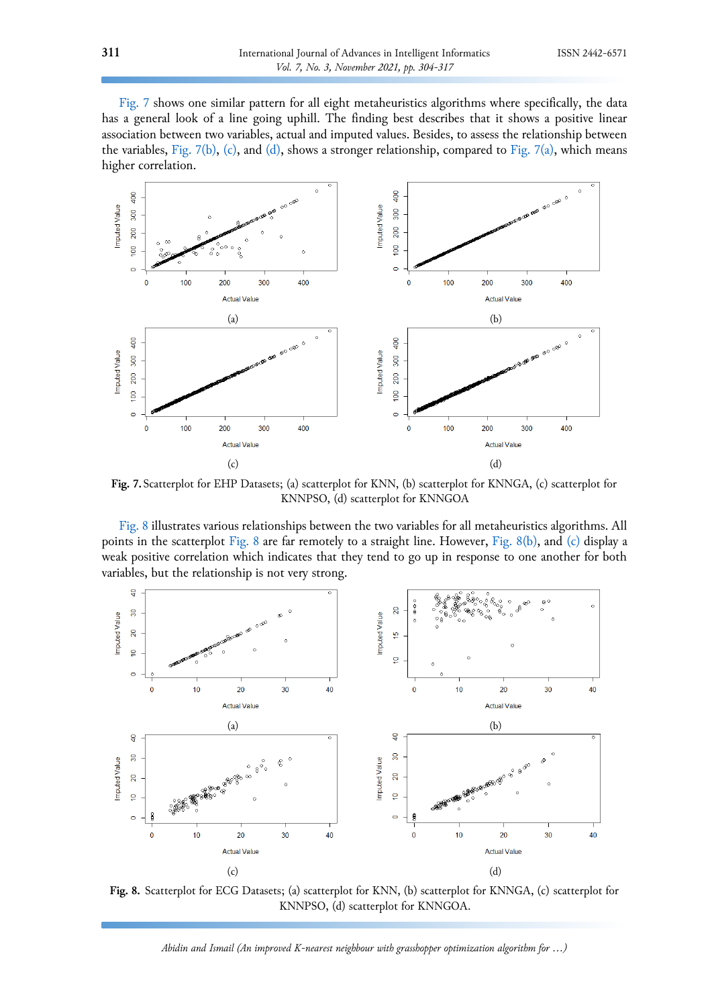[Fig.](#page-7-0) 7 shows one similar pattern for all eight metaheuristics algorithms where specifically, the data has a general look of a line going uphill. The finding best describes that it shows a positive linear association between two variables, actual and imputed values. Besides, to assess the relationship between the variables, [Fig. 7\(b\),](#page-7-0) [\(c\),](#page-7-2) and [\(d\),](#page-7-2) shows a stronger relationship, compared to [Fig.](#page-7-0) 7(a), which means higher correlation.

<span id="page-7-2"></span><span id="page-7-0"></span>

**Fig. 7.**Scatterplot for EHP Datasets; (a) scatterplot for KNN, (b) scatterplot for KNNGA, (c) scatterplot for KNNPSO, (d) scatterplot for KNNGOA

[Fig.](#page-7-1) 8 illustrates various relationships between the two variables for all metaheuristics algorithms. All points in the scatterplot [Fig. 8](#page-7-1) are far remotely to a straight line. However, [Fig.](#page-7-1) 8(b), and [\(c\)](#page-7-3) display a weak positive correlation which indicates that they tend to go up in response to one another for both variables, but the relationship is not very strong.

<span id="page-7-3"></span><span id="page-7-1"></span>

**Fig. 8.** Scatterplot for ECG Datasets; (a) scatterplot for KNN, (b) scatterplot for KNNGA, (c) scatterplot for KNNPSO, (d) scatterplot for KNNGOA.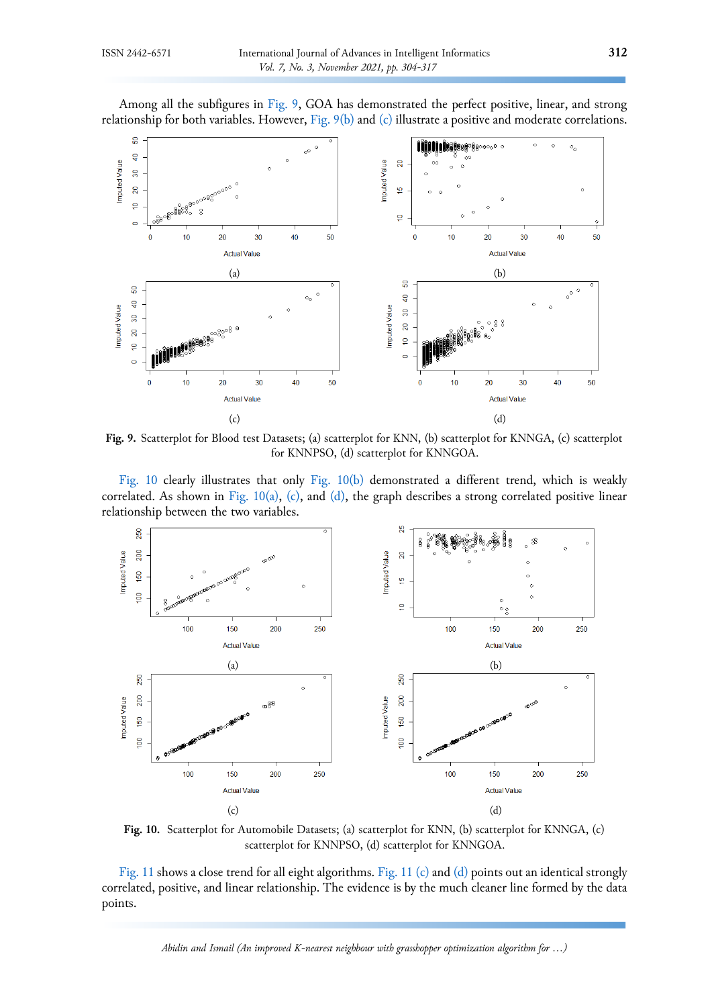Among all the subfigures in [Fig.](#page-8-0) 9, GOA has demonstrated the perfect positive, linear, and strong relationship for both variables. However[, Fig.](#page-8-0) 9(b) and [\(c\)](#page-8-0) illustrate a positive and moderate correlations.

<span id="page-8-0"></span>

**Fig. 9.** Scatterplot for Blood test Datasets; (a) scatterplot for KNN, (b) scatterplot for KNNGA, (c) scatterplot for KNNPSO, (d) scatterplot for KNNGOA.

[Fig.](#page-8-1) 10 clearly illustrates that only Fig. [10\(b\) d](#page-8-1)emonstrated a different trend, which is weakly correlated. As shown in Fig. [10\(a\),](#page-8-1) [\(c\),](#page-8-2) and [\(d\),](#page-8-2) the graph describes a strong correlated positive linear relationship between the two variables.

<span id="page-8-2"></span><span id="page-8-1"></span>

**Fig. 10.** Scatterplot for Automobile Datasets; (a) scatterplot for KNN, (b) scatterplot for KNNGA, (c) scatterplot for KNNPSO, (d) scatterplot for KNNGOA.

[Fig.](#page-9-0) 11 shows a close trend for all eight algorithms. Fig. [11 \(c\)](#page-9-1) and [\(d\)](#page-9-1) points out an identical strongly correlated, positive, and linear relationship. The evidence is by the much cleaner line formed by the data points.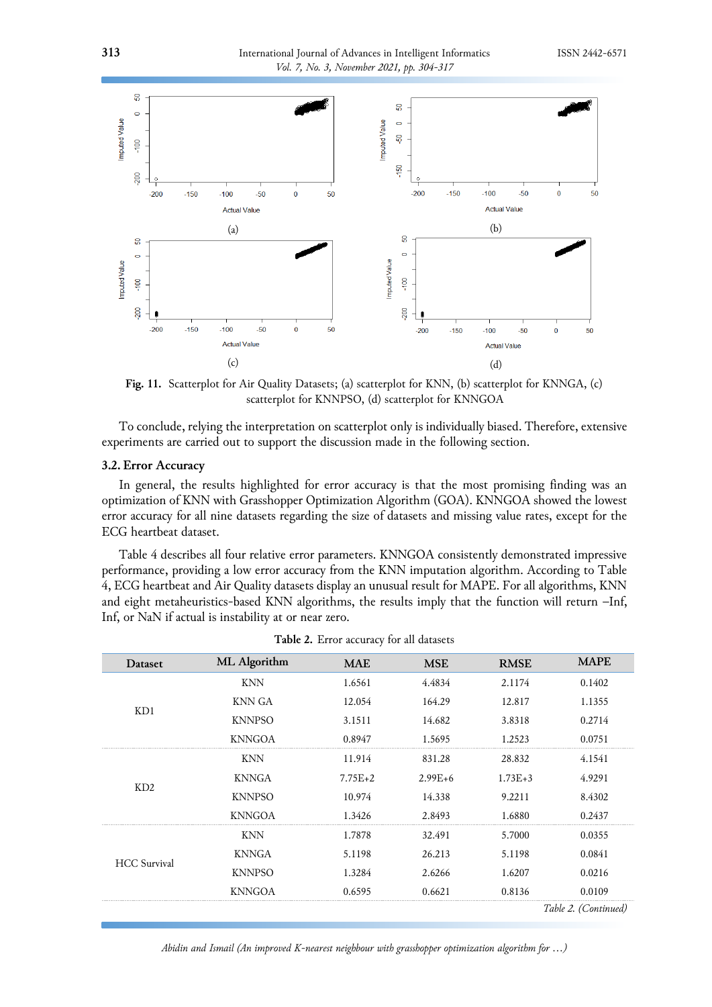<span id="page-9-0"></span>

<span id="page-9-1"></span>**Fig. 11.** Scatterplot for Air Quality Datasets; (a) scatterplot for KNN, (b) scatterplot for KNNGA, (c) scatterplot for KNNPSO, (d) scatterplot for KNNGOA

To conclude, relying the interpretation on scatterplot only is individually biased. Therefore, extensive experiments are carried out to support the discussion made in the following section.

#### **3.2. Error Accuracy**

In general, the results highlighted for error accuracy is that the most promising finding was an optimization of KNN with Grasshopper Optimization Algorithm (GOA). KNNGOA showed the lowest error accuracy for all nine datasets regarding the size of datasets and missing value rates, except for the ECG heartbeat dataset.

Table 4 describes all four relative error parameters. KNNGOA consistently demonstrated impressive performance, providing a low error accuracy from the KNN imputation algorithm. According to Table 4, ECG heartbeat and Air Quality datasets display an unusual result for MAPE. For all algorithms, KNN and eight metaheuristics-based KNN algorithms, the results imply that the function will return –Inf, Inf, or NaN if actual is instability at or near zero.

| Dataset             | ML Algorithm            | <b>MAE</b>                                                                                         | <b>MSE</b>                           | <b>RMSE</b> | <b>MAPE</b>          |
|---------------------|-------------------------|----------------------------------------------------------------------------------------------------|--------------------------------------|-------------|----------------------|
|                     | <b>KNN</b>              | 1.6561                                                                                             | 4.4834                               | 2.1174      | 0.1402               |
| KD1                 | KNN GA                  | 12.054                                                                                             | 164.29                               | 12.817      | 1.1355               |
|                     | <b>KNNPSO</b>           | 3.1511                                                                                             | 14.682                               | 3.8318      | 0.2714               |
|                     | <b>KNNGOA</b>           | 0.8947                                                                                             | 1.5695                               | 1.2523      | 0.0751               |
|                     | <b>KNN</b>              | 11.914                                                                                             | 831.28                               | 28.832      | 4.1541               |
| KD2                 | <b>KNNGA</b>            | $7.75E + 2$<br>$2.99E+6$<br><b>KNNPSO</b><br>10.974<br>14.338<br><b>KNNGOA</b><br>1.3426<br>2.8493 | $1.73E + 3$                          | 4.9291      |                      |
|                     |                         |                                                                                                    | 32.491<br>26.213<br>2.6266<br>0.6621 | 9.2211      | 8.4302               |
|                     |                         |                                                                                                    |                                      | 1.6880      | 0.2437               |
|                     | <b>KNN</b>              | 1.7878                                                                                             |                                      | 5.7000      | 0.0355               |
| <b>HCC</b> Survival | <b>KNNGA</b>            | 5.1198<br><b>KNNPSO</b><br>1.3284                                                                  | 5.1198                               | 0.0841      |                      |
|                     | <b>KNNGOA</b><br>0.6595 | 1.6207                                                                                             | 0.0216                               |             |                      |
|                     |                         | 0.8136                                                                                             | 0.0109                               |             |                      |
|                     |                         |                                                                                                    |                                      |             | Table 2. (Continued) |

**Table 2.** Error accuracy for all datasets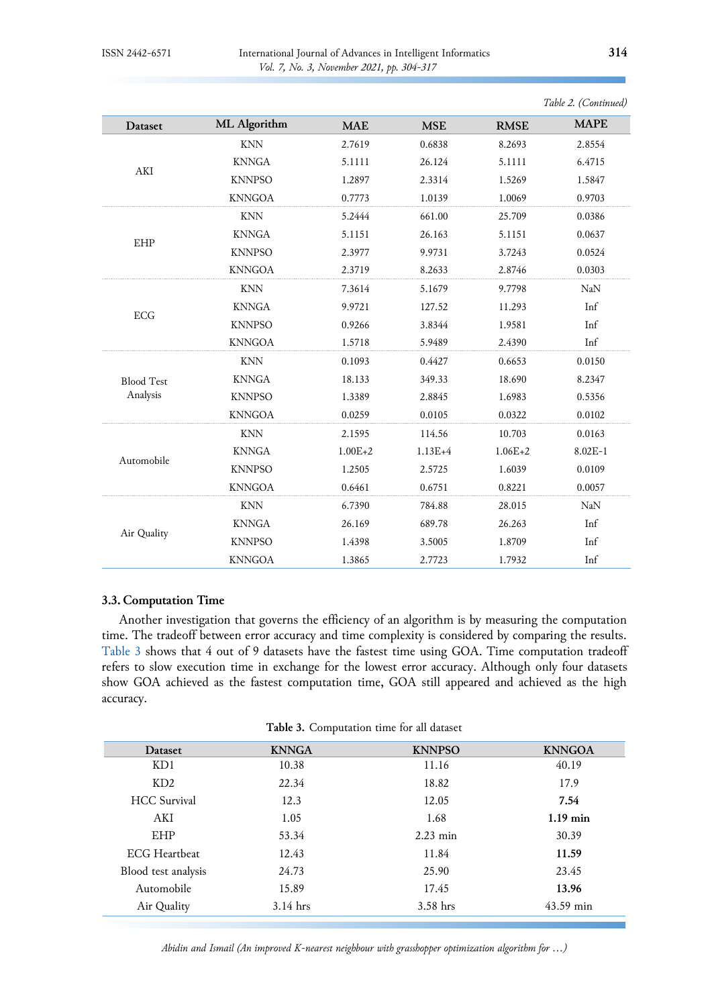| Dataset           | ML Algorithm  | <b>MAE</b>  | <b>MSE</b>  | <b>RMSE</b> | <b>MAPE</b> |
|-------------------|---------------|-------------|-------------|-------------|-------------|
|                   | <b>KNN</b>    | 2.7619      | 0.6838      | 8.2693      | 2.8554      |
|                   | <b>KNNGA</b>  | 5.1111      | 26.124      | 5.1111      | 6.4715      |
| AKI               | <b>KNNPSO</b> | 1.2897      | 2.3314      | 1.5269      | 1.5847      |
|                   | <b>KNNGOA</b> | 0.7773      | 1.0139      | 1.0069      | 0.9703      |
|                   | <b>KNN</b>    | 5.2444      | 661.00      | 25.709      | 0.0386      |
|                   | <b>KNNGA</b>  | 5.1151      | 26.163      | 5.1151      | 0.0637      |
| EHP               | <b>KNNPSO</b> | 2.3977      | 9.9731      | 3.7243      | 0.0524      |
|                   | <b>KNNGOA</b> | 2.3719      | 8.2633      | 2.8746      | 0.0303      |
|                   | <b>KNN</b>    | 7.3614      | 5.1679      | 9.7798      | <b>NaN</b>  |
|                   | <b>KNNGA</b>  | 9.9721      | 127.52      | 11.293      | Inf         |
| ECG               | <b>KNNPSO</b> | 0.9266      | 3.8344      | 1.9581      | Inf         |
|                   | <b>KNNGOA</b> | 1.5718      | 5.9489      | 2.4390      | Inf         |
|                   | <b>KNN</b>    | 0.1093      | 0.4427      | 0.6653      | 0.0150      |
| <b>Blood Test</b> | <b>KNNGA</b>  | 18.133      | 349.33      | 18.690      | 8.2347      |
| Analysis          | <b>KNNPSO</b> | 1.3389      | 2.8845      | 1.6983      | 0.5356      |
|                   | <b>KNNGOA</b> | 0.0259      | 0.0105      | 0.0322      | 0.0102      |
|                   | <b>KNN</b>    | 2.1595      | 114.56      | 10.703      | 0.0163      |
|                   | <b>KNNGA</b>  | $1.00E + 2$ | $1.13E + 4$ | $1.06E + 2$ | $8.02E-1$   |
| Automobile        | <b>KNNPSO</b> | 1.2505      | 2.5725      | 1.6039      | 0.0109      |
|                   | <b>KNNGOA</b> | 0.6461      | 0.6751      | 0.8221      | 0.0057      |
|                   | <b>KNN</b>    | 6.7390      | 784.88      | 28.015      | NaN         |
|                   | <b>KNNGA</b>  | 26.169      | 689.78      | 26.263      | Inf         |
| Air Quality       | <b>KNNPSO</b> | 1.4398      | 3.5005      | 1.8709      | Inf         |
|                   | <b>KNNGOA</b> | 1.3865      | 2.7723      | 1.7932      | Inf         |

*Table 2. (Continued)*

# **3.3. Computation Time**

Another investigation that governs the efficiency of an algorithm is by measuring the computation time. The tradeoff between error accuracy and time complexity is considered by comparing the results. [Table 3](#page-10-0) shows that 4 out of 9 datasets have the fastest time using GOA. Time computation tradeoff refers to slow execution time in exchange for the lowest error accuracy. Although only four datasets show GOA achieved as the fastest computation time, GOA still appeared and achieved as the high accuracy.

|  | Table 3. Computation time for all dataset |  |  |  |  |
|--|-------------------------------------------|--|--|--|--|
|--|-------------------------------------------|--|--|--|--|

<span id="page-10-0"></span>

| <b>Dataset</b>      | <b>KNNGA</b> | <b>KNNPSO</b> | <b>KNNGOA</b> |
|---------------------|--------------|---------------|---------------|
| KD1                 | 10.38        | 11.16         | 40.19         |
| KD2                 | 22.34        | 18.82         | 17.9          |
| <b>HCC</b> Survival | 12.3         | 12.05         | 7.54          |
| AKI                 | 1.05         | 1.68          | $1.19$ min    |
| EHP                 | 53.34        | $2.23$ min    | 30.39         |
| ECG Heartheat       | 12.43        | 11.84         | 11.59         |
| Blood test analysis | 24.73        | 25.90         | 23.45         |
| Automobile          | 15.89        | 17.45         | 13.96         |
| Air Quality         | $3.14$ hrs   | $3.58$ hrs    | $43.59$ min   |
|                     |              |               |               |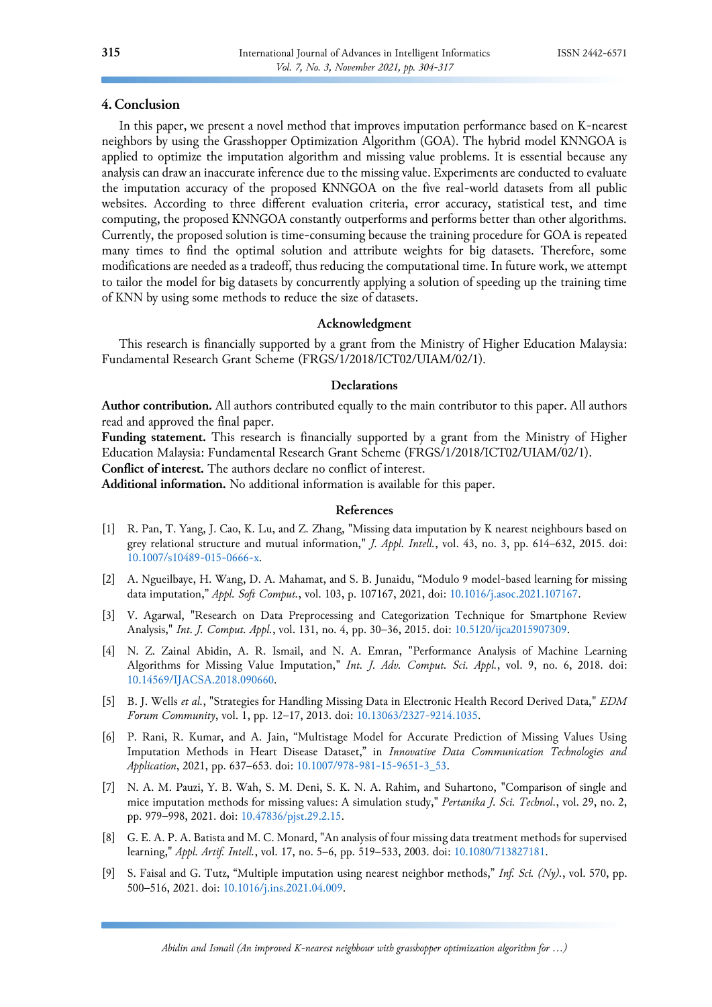# **4. Conclusion**

In this paper, we present a novel method that improves imputation performance based on K-nearest neighbors by using the Grasshopper Optimization Algorithm (GOA). The hybrid model KNNGOA is applied to optimize the imputation algorithm and missing value problems. It is essential because any analysis can draw an inaccurate inference due to the missing value. Experiments are conducted to evaluate the imputation accuracy of the proposed KNNGOA on the five real-world datasets from all public websites. According to three different evaluation criteria, error accuracy, statistical test, and time computing, the proposed KNNGOA constantly outperforms and performs better than other algorithms. Currently, the proposed solution is time-consuming because the training procedure for GOA is repeated many times to find the optimal solution and attribute weights for big datasets. Therefore, some modifications are needed as a tradeoff, thus reducing the computational time. In future work, we attempt to tailor the model for big datasets by concurrently applying a solution of speeding up the training time of KNN by using some methods to reduce the size of datasets.

# **Acknowledgment**

This research is financially supported by a grant from the Ministry of Higher Education Malaysia: Fundamental Research Grant Scheme (FRGS/1/2018/ICT02/UIAM/02/1).

# **Declarations**

**Author contribution.** All authors contributed equally to the main contributor to this paper. All authors read and approved the final paper.

**Funding statement.** This research is financially supported by a grant from the Ministry of Higher Education Malaysia: Fundamental Research Grant Scheme (FRGS/1/2018/ICT02/UIAM/02/1).

**Conflict of interest.** The authors declare no conflict of interest.

**Additional information.** No additional information is available for this paper.

# **References**

- <span id="page-11-0"></span>[1] R. Pan, T. Yang, J. Cao, K. Lu, and Z. Zhang, "Missing data imputation by K nearest neighbours based on grey relational structure and mutual information," *J. Appl. Intell.*, vol. 43, no. 3, pp. 614–632, 2015. doi: [10.1007/s10489-015-0666-x.](https://doi.org/10.1007/s10489-015-0666-x)
- <span id="page-11-1"></span>[2] A. Ngueilbaye, H. Wang, D. A. Mahamat, and S. B. Junaidu, "Modulo 9 model-based learning for missing data imputation," *Appl. Soft Comput.*, vol. 103, p. 107167, 2021, doi: [10.1016/j.asoc.2021.107167.](https://doi.org/10.1016/j.asoc.2021.107167)
- <span id="page-11-2"></span>[3] V. Agarwal, "Research on Data Preprocessing and Categorization Technique for Smartphone Review Analysis," *Int. J. Comput. Appl.*, vol. 131, no. 4, pp. 30–36, 2015. doi: [10.5120/ijca2015907309.](https://doi.org/10.5120/ijca2015907309)
- <span id="page-11-3"></span>[4] N. Z. Zainal Abidin, A. R. Ismail, and N. A. Emran, "Performance Analysis of Machine Learning Algorithms for Missing Value Imputation," *Int. J. Adv. Comput. Sci. Appl.*, vol. 9, no. 6, 2018. doi: [10.14569/IJACSA.2018.090660.](https://doi.org/10.14569/IJACSA.2018.090660)
- <span id="page-11-4"></span>[5] B. J. Wells *et al.*, "Strategies for Handling Missing Data in Electronic Health Record Derived Data," *EDM Forum Community*, vol. 1, pp. 12–17, 2013. doi: [10.13063/2327-9214.1035.](https://doi.org/10.13063/2327-9214.1035)
- <span id="page-11-5"></span>[6] P. Rani, R. Kumar, and A. Jain, "Multistage Model for Accurate Prediction of Missing Values Using Imputation Methods in Heart Disease Dataset," in *Innovative Data Communication Technologies and Application*, 2021, pp. 637–653. doi: [10.1007/978-981-15-9651-3\\_53.](https://doi.org/10.1007/978-981-15-9651-3_53)
- <span id="page-11-6"></span>[7] N. A. M. Pauzi, Y. B. Wah, S. M. Deni, S. K. N. A. Rahim, and Suhartono, "Comparison of single and mice imputation methods for missing values: A simulation study," *Pertanika J. Sci. Technol.*, vol. 29, no. 2, pp. 979–998, 2021. doi[: 10.47836/pjst.29.2.15.](https://doi.org/10.47836/pjst.29.2.15)
- <span id="page-11-7"></span>[8] G. E. A. P. A. Batista and M. C. Monard, "An analysis of four missing data treatment methods for supervised learning," *Appl. Artif. Intell.*, vol. 17, no. 5–6, pp. 519–533, 2003. doi: [10.1080/713827181.](https://doi.org/10.1080/713827181)
- <span id="page-11-8"></span>[9] S. Faisal and G. Tutz, "Multiple imputation using nearest neighbor methods," *Inf. Sci. (Ny).*, vol. 570, pp. 500–516, 2021. doi[: 10.1016/j.ins.2021.04.009.](https://doi.org/10.1016/j.ins.2021.04.009)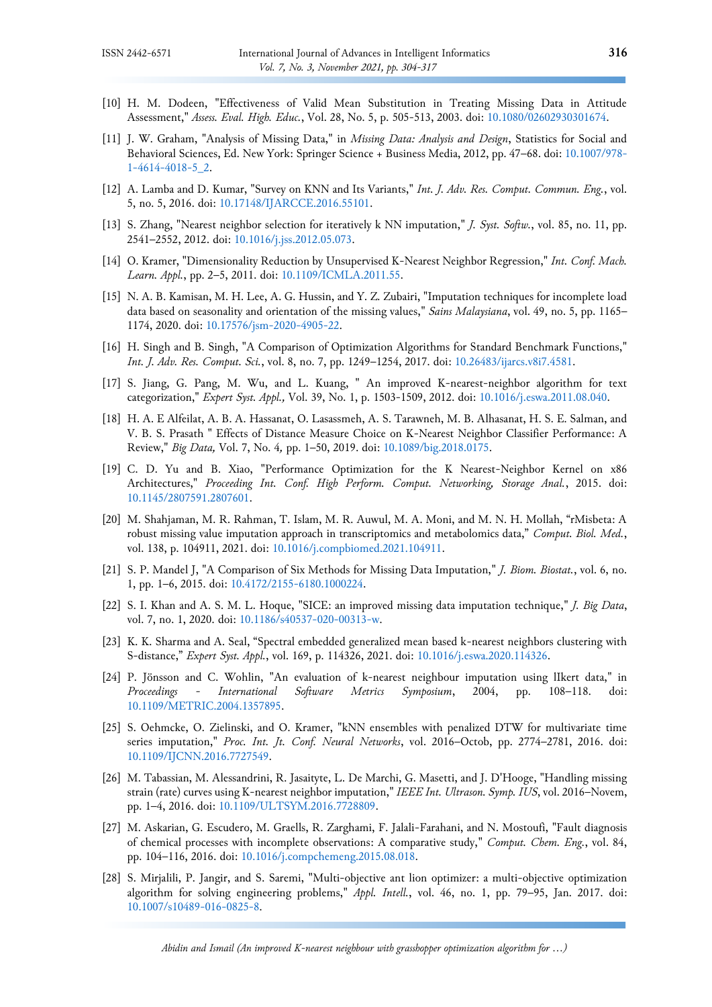- <span id="page-12-0"></span>[10] H. M. Dodeen, "Effectiveness of Valid Mean Substitution in Treating Missing Data in Attitude Assessment," *Assess. Eval. High. Educ.*, Vol. 28, No. 5, p. 505-513, 2003. doi: [10.1080/02602930301674.](https://doi.org/10.1080/02602930301674)
- <span id="page-12-1"></span>[11] J. W. Graham, "Analysis of Missing Data," in *Missing Data: Analysis and Design*, Statistics for Social and Behavioral Sciences, Ed. New York: Springer Science + Business Media, 2012, pp. 47–68. doi[: 10.1007/978-](https://doi.org/10.1007/978-1-4614-4018-5_2) [1-4614-4018-5\\_2.](https://doi.org/10.1007/978-1-4614-4018-5_2)
- <span id="page-12-2"></span>[12] A. Lamba and D. Kumar, "Survey on KNN and Its Variants," *Int. J. Adv. Res. Comput. Commun. Eng.*, vol. 5, no. 5, 2016. doi: [10.17148/IJARCCE.2016.55101.](https://doi.org/10.17148/IJARCCE.2016.55101)
- [13] S. Zhang, "Nearest neighbor selection for iteratively k NN imputation," *J. Syst. Softw.*, vol. 85, no. 11, pp. 2541–2552, 2012. doi: [10.1016/j.jss.2012.05.073.](https://doi.org/10.1016/j.jss.2012.05.073)
- <span id="page-12-3"></span>[14] O. Kramer, "Dimensionality Reduction by Unsupervised K-Nearest Neighbor Regression," *Int. Conf. Mach. Learn. Appl.*, pp. 2–5, 2011. doi: [10.1109/ICMLA.2011.55.](https://doi.org/10.1109/ICMLA.2011.55)
- <span id="page-12-4"></span>[15] N. A. B. Kamisan, M. H. Lee, A. G. Hussin, and Y. Z. Zubairi, "Imputation techniques for incomplete load data based on seasonality and orientation of the missing values," *Sains Malaysiana*, vol. 49, no. 5, pp. 1165– 1174, 2020. doi: [10.17576/jsm-2020-4905-22.](https://doi.org/10.17576/jsm-2020-4905-22)
- <span id="page-12-5"></span>[16] H. Singh and B. Singh, "A Comparison of Optimization Algorithms for Standard Benchmark Functions," *Int. J. Adv. Res. Comput. Sci.*, vol. 8, no. 7, pp. 1249–1254, 2017. doi: [10.26483/ijarcs.v8i7.4581.](https://doi.org/10.26483/ijarcs.v8i7.4581)
- <span id="page-12-6"></span>[17] S. Jiang, G. Pang, M. Wu, and L. Kuang, " An improved K-nearest-neighbor algorithm for text categorization," *Expert Syst. Appl.,* Vol. 39, No. 1, p. 1503-1509, 2012. doi: [10.1016/j.eswa.2011.08.040.](https://doi.org/10.1016/j.eswa.2011.08.040)
- [18] H. A. E Alfeilat, A. B. A. Hassanat, O. Lasassmeh, A. S. Tarawneh, M. B. Alhasanat, H. S. E. Salman, and V. B. S. Prasath " Effects of Distance Measure Choice on K-Nearest Neighbor Classifier Performance: A Review," *Big Data,* Vol. 7, No. 4*,* pp. 1–50, 2019. doi: [10.1089/big.2018.0175.](https://doi.org/10.1089/big.2018.0175)
- [19] C. D. Yu and B. Xiao, "Performance Optimization for the K Nearest-Neighbor Kernel on x86 Architectures," *Proceeding Int. Conf. High Perform. Comput. Networking, Storage Anal.*, 2015. doi: [10.1145/2807591.2807601.](https://doi.org/10.1145/2807591.2807601)
- <span id="page-12-7"></span>[20] M. Shahjaman, M. R. Rahman, T. Islam, M. R. Auwul, M. A. Moni, and M. N. H. Mollah, "rMisbeta: A robust missing value imputation approach in transcriptomics and metabolomics data," *Comput. Biol. Med.*, vol. 138, p. 104911, 2021. doi: [10.1016/j.compbiomed.2021.104911.](https://doi.org/10.1016/j.compbiomed.2021.104911)
- <span id="page-12-8"></span>[21] S. P. Mandel J, "A Comparison of Six Methods for Missing Data Imputation," *J. Biom. Biostat.*, vol. 6, no. 1, pp. 1–6, 2015. doi: [10.4172/2155-6180.1000224.](https://doi.org/10.4172/2155-6180.1000224)
- [22] S. I. Khan and A. S. M. L. Hoque, "SICE: an improved missing data imputation technique," *J. Big Data*, vol. 7, no. 1, 2020. doi: [10.1186/s40537-020-00313-w.](https://doi.org/10.1186/s40537-020-00313-w)
- [23] K. K. Sharma and A. Seal, "Spectral embedded generalized mean based k-nearest neighbors clustering with S-distance," *Expert Syst. Appl.*, vol. 169, p. 114326, 2021. doi: [10.1016/j.eswa.2020.114326.](https://doi.org/10.1016/j.eswa.2020.114326)
- <span id="page-12-9"></span>[24] P. Jönsson and C. Wohlin, "An evaluation of k-nearest neighbour imputation using lIkert data," in *Proceedings - International Software Metrics Symposium*, 2004, pp. 108–118. doi: [10.1109/METRIC.2004.1357895.](https://doi.org/10.1109/METRIC.2004.1357895)
- [25] S. Oehmcke, O. Zielinski, and O. Kramer, "kNN ensembles with penalized DTW for multivariate time series imputation," *Proc. Int. Jt. Conf. Neural Networks*, vol. 2016–Octob, pp. 2774–2781, 2016. doi: [10.1109/IJCNN.2016.7727549.](https://doi.org/10.1109/IJCNN.2016.7727549)
- [26] M. Tabassian, M. Alessandrini, R. Jasaityte, L. De Marchi, G. Masetti, and J. D'Hooge, "Handling missing strain (rate) curves using K-nearest neighbor imputation," *IEEE Int. Ultrason. Symp. IUS*, vol. 2016–Novem, pp. 1–4, 2016. doi: [10.1109/ULTSYM.2016.7728809.](https://doi.org/10.1109/ULTSYM.2016.7728809)
- <span id="page-12-10"></span>[27] M. Askarian, G. Escudero, M. Graells, R. Zarghami, F. Jalali-Farahani, and N. Mostoufi, "Fault diagnosis of chemical processes with incomplete observations: A comparative study," *Comput. Chem. Eng.*, vol. 84, pp. 104–116, 2016. doi[: 10.1016/j.compchemeng.2015.08.018.](https://doi.org/10.1016/j.compchemeng.2015.08.018)
- <span id="page-12-11"></span>[28] S. Mirjalili, P. Jangir, and S. Saremi, "Multi-objective ant lion optimizer: a multi-objective optimization algorithm for solving engineering problems," *Appl. Intell.*, vol. 46, no. 1, pp. 79–95, Jan. 2017. doi: [10.1007/s10489-016-0825-8.](https://doi.org/10.1007/s10489-016-0825-8)